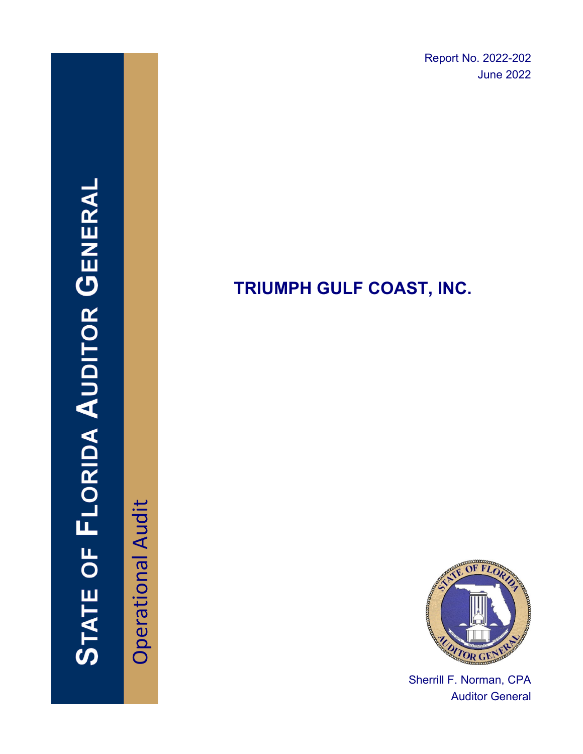Report No. 2022-202 June 2022

# STATE OF FLORIDA AUDITOR GENERAI

**Operational Audit** Operational Audit

# **TRIUMPH GULF COAST, INC.**



Sherrill F. Norman, CPA Auditor General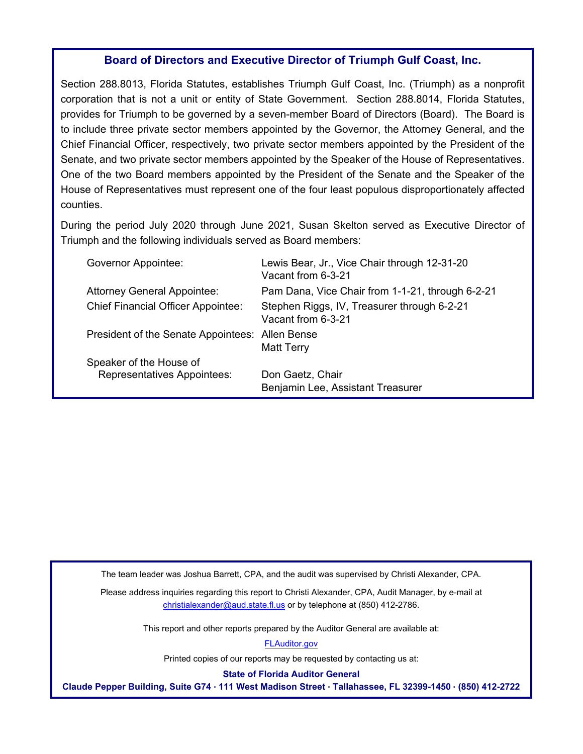### **Board of Directors and Executive Director of Triumph Gulf Coast, Inc.**

Section 288.8013, Florida Statutes, establishes Triumph Gulf Coast, Inc. (Triumph) as a nonprofit corporation that is not a unit or entity of State Government. Section 288.8014, Florida Statutes, provides for Triumph to be governed by a seven-member Board of Directors (Board). The Board is to include three private sector members appointed by the Governor, the Attorney General, and the Chief Financial Officer, respectively, two private sector members appointed by the President of the Senate, and two private sector members appointed by the Speaker of the House of Representatives. One of the two Board members appointed by the President of the Senate and the Speaker of the House of Representatives must represent one of the four least populous disproportionately affected counties.

During the period July 2020 through June 2021, Susan Skelton served as Executive Director of Triumph and the following individuals served as Board members:

| Governor Appointee:                                           | Lewis Bear, Jr., Vice Chair through 12-31-20<br>Vacant from 6-3-21 |
|---------------------------------------------------------------|--------------------------------------------------------------------|
| <b>Attorney General Appointee:</b>                            | Pam Dana, Vice Chair from 1-1-21, through 6-2-21                   |
| <b>Chief Financial Officer Appointee:</b>                     | Stephen Riggs, IV, Treasurer through 6-2-21<br>Vacant from 6-3-21  |
| President of the Senate Appointees: Allen Bense               | <b>Matt Terry</b>                                                  |
| Speaker of the House of<br><b>Representatives Appointees:</b> | Don Gaetz, Chair<br>Benjamin Lee, Assistant Treasurer              |

The team leader was Joshua Barrett, CPA, and the audit was supervised by Christi Alexander, CPA.

Please address inquiries regarding this report to Christi Alexander, CPA, Audit Manager, by e-mail at christialexander@aud.state.fl.us or by telephone at (850) 412-2786.

This report and other reports prepared by the Auditor General are available at:

[FLAuditor.gov](https://flauditor.gov/)

Printed copies of our reports may be requested by contacting us at:

**State of Florida Auditor General**

**Claude Pepper Building, Suite G74 · 111 West Madison Street · Tallahassee, FL 32399-1450 · (850) 412-2722**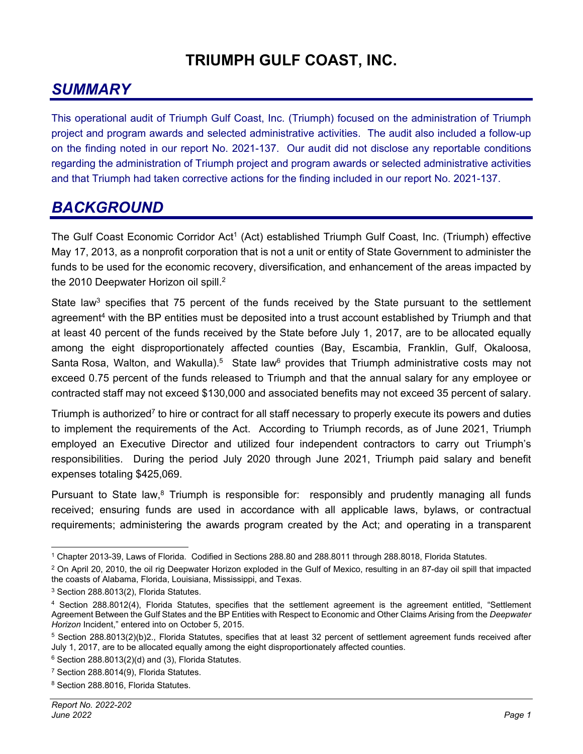### **TRIUMPH GULF COAST, INC.**

### *SUMMARY*

This operational audit of Triumph Gulf Coast, Inc. (Triumph) focused on the administration of Triumph project and program awards and selected administrative activities. The audit also included a follow-up on the finding noted in our report No. 2021-137. Our audit did not disclose any reportable conditions regarding the administration of Triumph project and program awards or selected administrative activities and that Triumph had taken corrective actions for the finding included in our report No. 2021-137.

### *BACKGROUND*

The Gulf Coast Economic Corridor Act<sup>1</sup> (Act) established Triumph Gulf Coast, Inc. (Triumph) effective May 17, 2013, as a nonprofit corporation that is not a unit or entity of State Government to administer the funds to be used for the economic recovery, diversification, and enhancement of the areas impacted by the 2010 Deepwater Horizon oil spill.<sup>2</sup>

State law<sup>3</sup> specifies that 75 percent of the funds received by the State pursuant to the settlement agreement<sup>4</sup> with the BP entities must be deposited into a trust account established by Triumph and that at least 40 percent of the funds received by the State before July 1, 2017, are to be allocated equally among the eight disproportionately affected counties (Bay, Escambia, Franklin, Gulf, Okaloosa, Santa Rosa, Walton, and Wakulla).<sup>5</sup> State law<sup>6</sup> provides that Triumph administrative costs may not exceed 0.75 percent of the funds released to Triumph and that the annual salary for any employee or contracted staff may not exceed \$130,000 and associated benefits may not exceed 35 percent of salary.

Triumph is authorized<sup>7</sup> to hire or contract for all staff necessary to properly execute its powers and duties to implement the requirements of the Act. According to Triumph records, as of June 2021, Triumph employed an Executive Director and utilized four independent contractors to carry out Triumph's responsibilities. During the period July 2020 through June 2021, Triumph paid salary and benefit expenses totaling \$425,069.

Pursuant to State law,<sup>8</sup> Triumph is responsible for: responsibly and prudently managing all funds received; ensuring funds are used in accordance with all applicable laws, bylaws, or contractual requirements; administering the awards program created by the Act; and operating in a transparent

<sup>1</sup> Chapter 2013-39, Laws of Florida. Codified in Sections 288.80 and 288.8011 through 288.8018, Florida Statutes.

 $2$  On April 20, 2010, the oil rig Deepwater Horizon exploded in the Gulf of Mexico, resulting in an 87-day oil spill that impacted the coasts of Alabama, Florida, Louisiana, Mississippi, and Texas.

<sup>3</sup> Section 288.8013(2), Florida Statutes.

<sup>4</sup> Section 288.8012(4), Florida Statutes, specifies that the settlement agreement is the agreement entitled, "Settlement Agreement Between the Gulf States and the BP Entities with Respect to Economic and Other Claims Arising from the *Deepwater Horizon* Incident," entered into on October 5, 2015.

<sup>5</sup> Section 288.8013(2)(b)2., Florida Statutes, specifies that at least 32 percent of settlement agreement funds received after July 1, 2017, are to be allocated equally among the eight disproportionately affected counties.

 $6$  Section 288.8013(2)(d) and (3), Florida Statutes.

<sup>7</sup> Section 288.8014(9), Florida Statutes.

<sup>8</sup> Section 288.8016, Florida Statutes.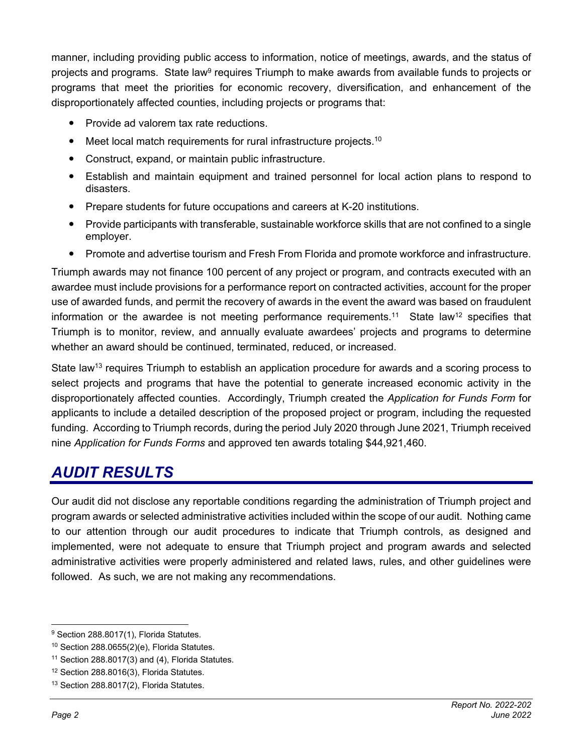manner, including providing public access to information, notice of meetings, awards, and the status of projects and programs. State law<sup>9</sup> requires Triumph to make awards from available funds to projects or programs that meet the priorities for economic recovery, diversification, and enhancement of the disproportionately affected counties, including projects or programs that:

- Provide ad valorem tax rate reductions.
- Meet local match requirements for rural infrastructure projects.<sup>10</sup>
- Construct, expand, or maintain public infrastructure.
- Establish and maintain equipment and trained personnel for local action plans to respond to disasters.
- Prepare students for future occupations and careers at K-20 institutions.
- Provide participants with transferable, sustainable workforce skills that are not confined to a single employer.
- Promote and advertise tourism and Fresh From Florida and promote workforce and infrastructure.

Triumph awards may not finance 100 percent of any project or program, and contracts executed with an awardee must include provisions for a performance report on contracted activities, account for the proper use of awarded funds, and permit the recovery of awards in the event the award was based on fraudulent information or the awardee is not meeting performance requirements.<sup>11</sup> State law<sup>12</sup> specifies that Triumph is to monitor, review, and annually evaluate awardees' projects and programs to determine whether an award should be continued, terminated, reduced, or increased.

State law<sup>13</sup> requires Triumph to establish an application procedure for awards and a scoring process to select projects and programs that have the potential to generate increased economic activity in the disproportionately affected counties. Accordingly, Triumph created the *Application for Funds Form* for applicants to include a detailed description of the proposed project or program, including the requested funding. According to Triumph records, during the period July 2020 through June 2021, Triumph received nine *Application for Funds Forms* and approved ten awards totaling \$44,921,460.

### *AUDIT RESULTS*

Our audit did not disclose any reportable conditions regarding the administration of Triumph project and program awards or selected administrative activities included within the scope of our audit. Nothing came to our attention through our audit procedures to indicate that Triumph controls, as designed and implemented, were not adequate to ensure that Triumph project and program awards and selected administrative activities were properly administered and related laws, rules, and other guidelines were followed. As such, we are not making any recommendations.

<sup>&</sup>lt;sup>9</sup> Section 288.8017(1), Florida Statutes.

 $10$  Section 288.0655(2)(e), Florida Statutes.

 $11$  Section 288.8017(3) and (4), Florida Statutes.

<sup>12</sup> Section 288.8016(3), Florida Statutes.

<sup>13</sup> Section 288.8017(2), Florida Statutes.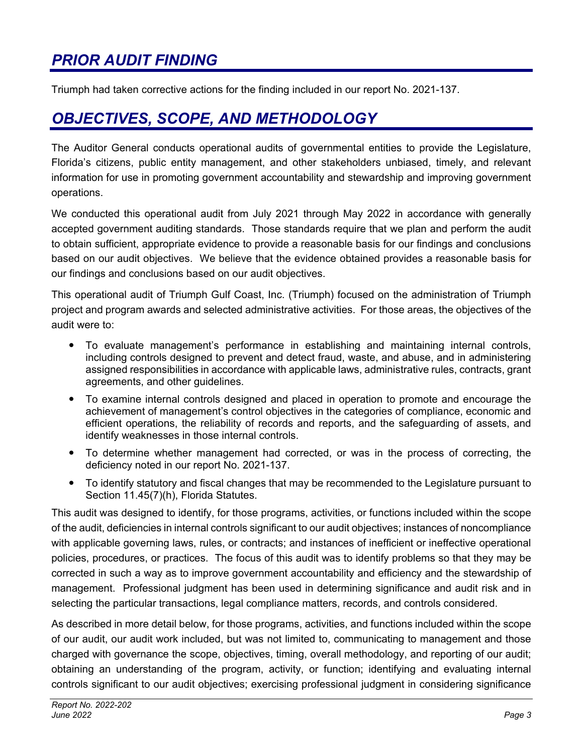### *PRIOR AUDIT FINDING*

Triumph had taken corrective actions for the finding included in our report No. 2021-137.

### *OBJECTIVES, SCOPE, AND METHODOLOGY*

The Auditor General conducts operational audits of governmental entities to provide the Legislature, Florida's citizens, public entity management, and other stakeholders unbiased, timely, and relevant information for use in promoting government accountability and stewardship and improving government operations.

We conducted this operational audit from July 2021 through May 2022 in accordance with generally accepted government auditing standards. Those standards require that we plan and perform the audit to obtain sufficient, appropriate evidence to provide a reasonable basis for our findings and conclusions based on our audit objectives. We believe that the evidence obtained provides a reasonable basis for our findings and conclusions based on our audit objectives.

This operational audit of Triumph Gulf Coast, Inc. (Triumph) focused on the administration of Triumph project and program awards and selected administrative activities. For those areas, the objectives of the audit were to:

- To evaluate management's performance in establishing and maintaining internal controls, including controls designed to prevent and detect fraud, waste, and abuse, and in administering assigned responsibilities in accordance with applicable laws, administrative rules, contracts, grant agreements, and other guidelines.
- To examine internal controls designed and placed in operation to promote and encourage the achievement of management's control objectives in the categories of compliance, economic and efficient operations, the reliability of records and reports, and the safeguarding of assets, and identify weaknesses in those internal controls.
- To determine whether management had corrected, or was in the process of correcting, the deficiency noted in our report No. 2021-137.
- To identify statutory and fiscal changes that may be recommended to the Legislature pursuant to Section 11.45(7)(h), Florida Statutes.

This audit was designed to identify, for those programs, activities, or functions included within the scope of the audit, deficiencies in internal controls significant to our audit objectives; instances of noncompliance with applicable governing laws, rules, or contracts; and instances of inefficient or ineffective operational policies, procedures, or practices. The focus of this audit was to identify problems so that they may be corrected in such a way as to improve government accountability and efficiency and the stewardship of management. Professional judgment has been used in determining significance and audit risk and in selecting the particular transactions, legal compliance matters, records, and controls considered.

As described in more detail below, for those programs, activities, and functions included within the scope of our audit, our audit work included, but was not limited to, communicating to management and those charged with governance the scope, objectives, timing, overall methodology, and reporting of our audit; obtaining an understanding of the program, activity, or function; identifying and evaluating internal controls significant to our audit objectives; exercising professional judgment in considering significance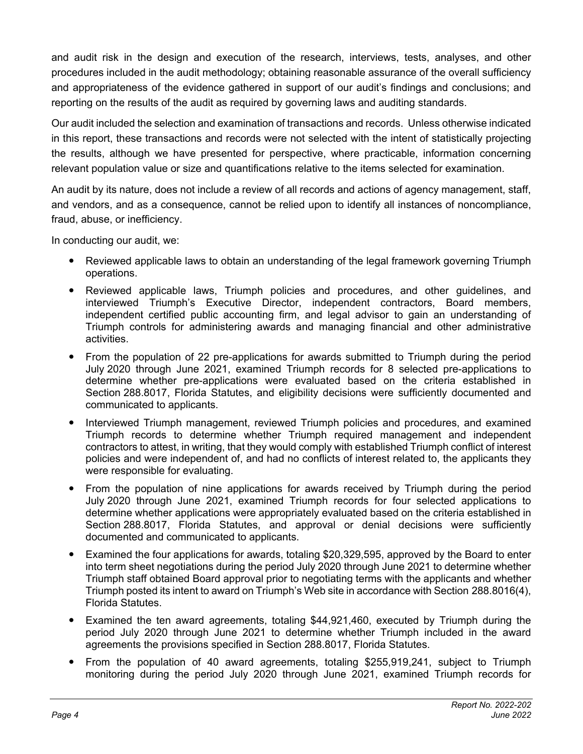and audit risk in the design and execution of the research, interviews, tests, analyses, and other procedures included in the audit methodology; obtaining reasonable assurance of the overall sufficiency and appropriateness of the evidence gathered in support of our audit's findings and conclusions; and reporting on the results of the audit as required by governing laws and auditing standards.

Our audit included the selection and examination of transactions and records. Unless otherwise indicated in this report, these transactions and records were not selected with the intent of statistically projecting the results, although we have presented for perspective, where practicable, information concerning relevant population value or size and quantifications relative to the items selected for examination.

An audit by its nature, does not include a review of all records and actions of agency management, staff, and vendors, and as a consequence, cannot be relied upon to identify all instances of noncompliance, fraud, abuse, or inefficiency.

In conducting our audit, we:

- Reviewed applicable laws to obtain an understanding of the legal framework governing Triumph operations.
- Reviewed applicable laws, Triumph policies and procedures, and other guidelines, and interviewed Triumph's Executive Director, independent contractors, Board members, independent certified public accounting firm, and legal advisor to gain an understanding of Triumph controls for administering awards and managing financial and other administrative activities.
- From the population of 22 pre-applications for awards submitted to Triumph during the period July 2020 through June 2021, examined Triumph records for 8 selected pre-applications to determine whether pre-applications were evaluated based on the criteria established in Section 288.8017, Florida Statutes, and eligibility decisions were sufficiently documented and communicated to applicants.
- Interviewed Triumph management, reviewed Triumph policies and procedures, and examined Triumph records to determine whether Triumph required management and independent contractors to attest, in writing, that they would comply with established Triumph conflict of interest policies and were independent of, and had no conflicts of interest related to, the applicants they were responsible for evaluating.
- From the population of nine applications for awards received by Triumph during the period July 2020 through June 2021, examined Triumph records for four selected applications to determine whether applications were appropriately evaluated based on the criteria established in Section 288.8017, Florida Statutes, and approval or denial decisions were sufficiently documented and communicated to applicants.
- Examined the four applications for awards, totaling \$20,329,595, approved by the Board to enter into term sheet negotiations during the period July 2020 through June 2021 to determine whether Triumph staff obtained Board approval prior to negotiating terms with the applicants and whether Triumph posted its intent to award on Triumph's Web site in accordance with Section 288.8016(4), Florida Statutes.
- Examined the ten award agreements, totaling \$44,921,460, executed by Triumph during the period July 2020 through June 2021 to determine whether Triumph included in the award agreements the provisions specified in Section 288.8017, Florida Statutes.
- From the population of 40 award agreements, totaling \$255,919,241, subject to Triumph monitoring during the period July 2020 through June 2021, examined Triumph records for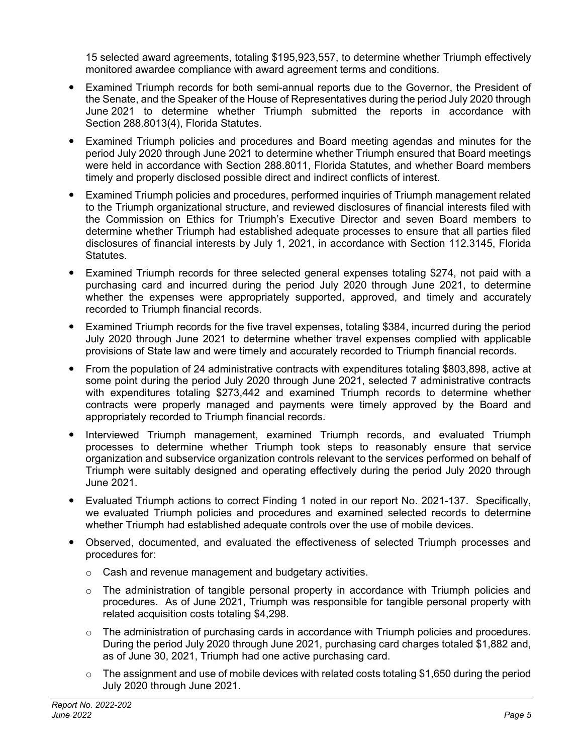15 selected award agreements, totaling \$195,923,557, to determine whether Triumph effectively monitored awardee compliance with award agreement terms and conditions.

- Examined Triumph records for both semi-annual reports due to the Governor, the President of the Senate, and the Speaker of the House of Representatives during the period July 2020 through June 2021 to determine whether Triumph submitted the reports in accordance with Section 288.8013(4), Florida Statutes.
- Examined Triumph policies and procedures and Board meeting agendas and minutes for the period July 2020 through June 2021 to determine whether Triumph ensured that Board meetings were held in accordance with Section 288.8011, Florida Statutes, and whether Board members timely and properly disclosed possible direct and indirect conflicts of interest.
- Examined Triumph policies and procedures, performed inquiries of Triumph management related to the Triumph organizational structure, and reviewed disclosures of financial interests filed with the Commission on Ethics for Triumph's Executive Director and seven Board members to determine whether Triumph had established adequate processes to ensure that all parties filed disclosures of financial interests by July 1, 2021, in accordance with Section 112.3145, Florida Statutes.
- Examined Triumph records for three selected general expenses totaling \$274, not paid with a purchasing card and incurred during the period July 2020 through June 2021, to determine whether the expenses were appropriately supported, approved, and timely and accurately recorded to Triumph financial records.
- Examined Triumph records for the five travel expenses, totaling \$384, incurred during the period July 2020 through June 2021 to determine whether travel expenses complied with applicable provisions of State law and were timely and accurately recorded to Triumph financial records.
- From the population of 24 administrative contracts with expenditures totaling \$803,898, active at some point during the period July 2020 through June 2021, selected 7 administrative contracts with expenditures totaling \$273,442 and examined Triumph records to determine whether contracts were properly managed and payments were timely approved by the Board and appropriately recorded to Triumph financial records.
- Interviewed Triumph management, examined Triumph records, and evaluated Triumph processes to determine whether Triumph took steps to reasonably ensure that service organization and subservice organization controls relevant to the services performed on behalf of Triumph were suitably designed and operating effectively during the period July 2020 through June 2021.
- Evaluated Triumph actions to correct Finding 1 noted in our report No. 2021-137. Specifically, we evaluated Triumph policies and procedures and examined selected records to determine whether Triumph had established adequate controls over the use of mobile devices.
- Observed, documented, and evaluated the effectiveness of selected Triumph processes and procedures for:
	- o Cash and revenue management and budgetary activities.
	- $\circ$  The administration of tangible personal property in accordance with Triumph policies and procedures. As of June 2021, Triumph was responsible for tangible personal property with related acquisition costs totaling \$4,298.
	- $\circ$  The administration of purchasing cards in accordance with Triumph policies and procedures. During the period July 2020 through June 2021, purchasing card charges totaled \$1,882 and, as of June 30, 2021, Triumph had one active purchasing card.
	- $\circ$  The assignment and use of mobile devices with related costs totaling \$1,650 during the period July 2020 through June 2021.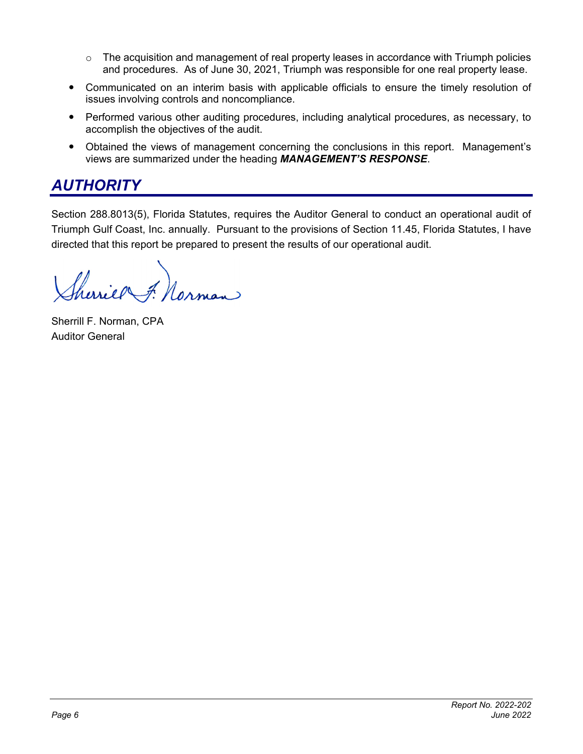- $\circ$  The acquisition and management of real property leases in accordance with Triumph policies and procedures. As of June 30, 2021, Triumph was responsible for one real property lease.
- Communicated on an interim basis with applicable officials to ensure the timely resolution of issues involving controls and noncompliance.
- Performed various other auditing procedures, including analytical procedures, as necessary, to accomplish the objectives of the audit.
- Obtained the views of management concerning the conclusions in this report. Management's views are summarized under the heading *MANAGEMENT'S RESPONSE*.

### *AUTHORITY*

Section 288.8013(5), Florida Statutes, requires the Auditor General to conduct an operational audit of Triumph Gulf Coast, Inc. annually. Pursuant to the provisions of Section 11.45, Florida Statutes, I have directed that this report be prepared to present the results of our operational audit.

Cerriel F. Norman

Sherrill F. Norman, CPA Auditor General